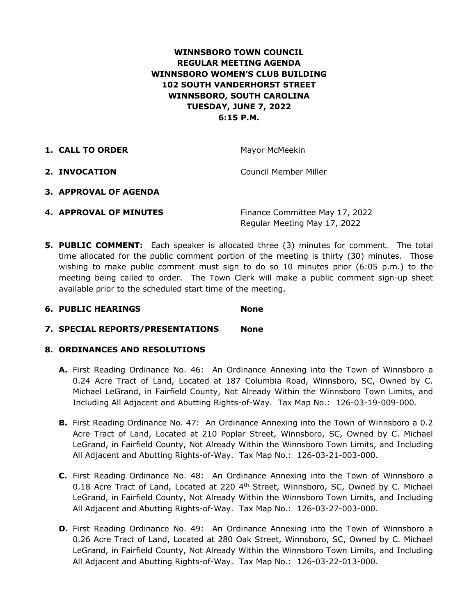# **WINNSBORO TOWN COUNCIL REGULAR MEETING AGENDA WINNSBORO WOMEN'S CLUB BUILDING 102 SOUTH VANDERHORST STREET WINNSBORO, SOUTH CAROLINA TUESDAY, JUNE 7, 2022 6:15 P.M.**

| 1. CALL TO ORDER | Mayor McMeekin        |
|------------------|-----------------------|
| 2. INVOCATION    | Council Member Miller |

- **3. APPROVAL OF AGENDA**
- **4. APPROVAL OF MINUTES** Finance Committee May 17, 2022 Regular Meeting May 17, 2022
- **5. PUBLIC COMMENT:** Each speaker is allocated three (3) minutes for comment. The total time allocated for the public comment portion of the meeting is thirty (30) minutes. Those wishing to make public comment must sign to do so 10 minutes prior (6:05 p.m.) to the meeting being called to order. The Town Clerk will make a public comment sign-up sheet available prior to the scheduled start time of the meeting.

## **6. PUBLIC HEARINGS None**

**7. SPECIAL REPORTS/PRESENTATIONS None**

## **8. ORDINANCES AND RESOLUTIONS**

- **A.** First Reading Ordinance No. 46: An Ordinance Annexing into the Town of Winnsboro a 0.24 Acre Tract of Land, Located at 187 Columbia Road, Winnsboro, SC, Owned by C. Michael LeGrand, in Fairfield County, Not Already Within the Winnsboro Town Limits, and Including All Adjacent and Abutting Rights-of-Way. Tax Map No.: 126-03-19-009-000.
- **B.** First Reading Ordinance No. 47: An Ordinance Annexing into the Town of Winnsboro a 0.2 Acre Tract of Land, Located at 210 Poplar Street, Winnsboro, SC, Owned by C. Michael LeGrand, in Fairfield County, Not Already Within the Winnsboro Town Limits, and Including All Adjacent and Abutting Rights-of-Way. Tax Map No.: 126-03-21-003-000.
- **C.** First Reading Ordinance No. 48: An Ordinance Annexing into the Town of Winnsboro a 0.18 Acre Tract of Land, Located at 220  $4<sup>th</sup>$  Street, Winnsboro, SC, Owned by C. Michael LeGrand, in Fairfield County, Not Already Within the Winnsboro Town Limits, and Including All Adjacent and Abutting Rights-of-Way. Tax Map No.: 126-03-27-003-000.
- **D.** First Reading Ordinance No. 49: An Ordinance Annexing into the Town of Winnsboro a 0.26 Acre Tract of Land, Located at 280 Oak Street, Winnsboro, SC, Owned by C. Michael LeGrand, in Fairfield County, Not Already Within the Winnsboro Town Limits, and Including All Adjacent and Abutting Rights-of-Way. Tax Map No.: 126-03-22-013-000.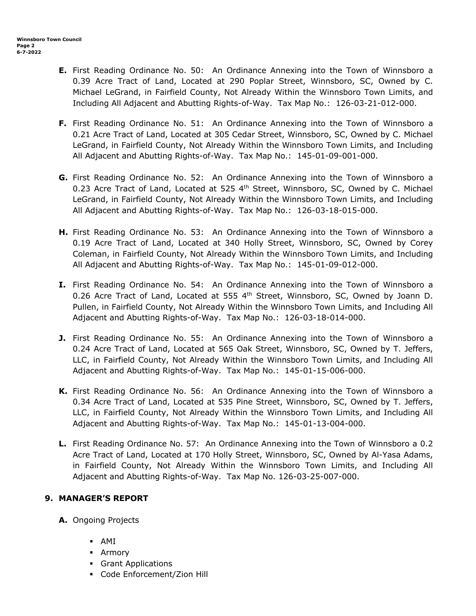- **E.** First Reading Ordinance No. 50: An Ordinance Annexing into the Town of Winnsboro a 0.39 Acre Tract of Land, Located at 290 Poplar Street, Winnsboro, SC, Owned by C. Michael LeGrand, in Fairfield County, Not Already Within the Winnsboro Town Limits, and Including All Adjacent and Abutting Rights-of-Way. Tax Map No.: 126-03-21-012-000.
- **F.** First Reading Ordinance No. 51: An Ordinance Annexing into the Town of Winnsboro a 0.21 Acre Tract of Land, Located at 305 Cedar Street, Winnsboro, SC, Owned by C. Michael LeGrand, in Fairfield County, Not Already Within the Winnsboro Town Limits, and Including All Adjacent and Abutting Rights-of-Way. Tax Map No.: 145-01-09-001-000.
- **G.** First Reading Ordinance No. 52: An Ordinance Annexing into the Town of Winnsboro a 0.23 Acre Tract of Land, Located at 525  $4<sup>th</sup>$  Street, Winnsboro, SC, Owned by C. Michael LeGrand, in Fairfield County, Not Already Within the Winnsboro Town Limits, and Including All Adjacent and Abutting Rights-of-Way. Tax Map No.: 126-03-18-015-000.
- **H.** First Reading Ordinance No. 53: An Ordinance Annexing into the Town of Winnsboro a 0.19 Acre Tract of Land, Located at 340 Holly Street, Winnsboro, SC, Owned by Corey Coleman, in Fairfield County, Not Already Within the Winnsboro Town Limits, and Including All Adjacent and Abutting Rights-of-Way. Tax Map No.: 145-01-09-012-000.
- **I.** First Reading Ordinance No. 54: An Ordinance Annexing into the Town of Winnsboro a 0.26 Acre Tract of Land, Located at 555  $4<sup>th</sup>$  Street, Winnsboro, SC, Owned by Joann D. Pullen, in Fairfield County, Not Already Within the Winnsboro Town Limits, and Including All Adjacent and Abutting Rights-of-Way. Tax Map No.: 126-03-18-014-000.
- **J.** First Reading Ordinance No. 55: An Ordinance Annexing into the Town of Winnsboro a 0.24 Acre Tract of Land, Located at 565 Oak Street, Winnsboro, SC, Owned by T. Jeffers, LLC, in Fairfield County, Not Already Within the Winnsboro Town Limits, and Including All Adjacent and Abutting Rights-of-Way. Tax Map No.: 145-01-15-006-000.
- **K.** First Reading Ordinance No. 56: An Ordinance Annexing into the Town of Winnsboro a 0.34 Acre Tract of Land, Located at 535 Pine Street, Winnsboro, SC, Owned by T. Jeffers, LLC, in Fairfield County, Not Already Within the Winnsboro Town Limits, and Including All Adjacent and Abutting Rights-of-Way. Tax Map No.: 145-01-13-004-000.
- **L.** First Reading Ordinance No. 57: An Ordinance Annexing into the Town of Winnsboro a 0.2 Acre Tract of Land, Located at 170 Holly Street, Winnsboro, SC, Owned by Al-Yasa Adams, in Fairfield County, Not Already Within the Winnsboro Town Limits, and Including All Adjacent and Abutting Rights-of-Way. Tax Map No. 126-03-25-007-000.

# **9. MANAGER'S REPORT**

- **A.** Ongoing Projects
	- § AMI
	- § Armory
	- § Grant Applications
	- § Code Enforcement/Zion Hill